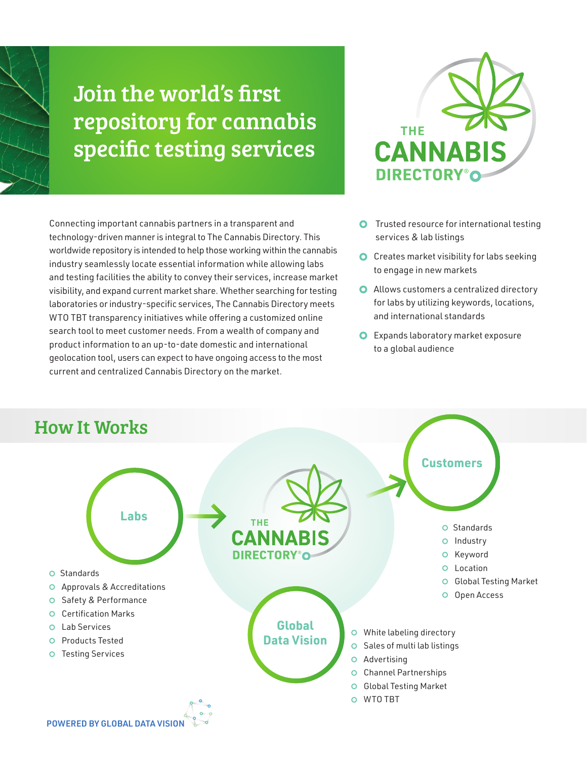# Join the world's first repository for cannabis specific testing services

Connecting important cannabis partners in a transparent and technology-driven manner is integral to The Cannabis Directory. This worldwide repository is intended to help those working within the cannabis industry seamlessly locate essential information while allowing labs and testing facilities the ability to convey their services, increase market visibility, and expand current market share. Whether searching for testing laboratories or industry-specific services, The Cannabis Directory meets WTO TBT transparency initiatives while offering a customized online search tool to meet customer needs. From a wealth of company and product information to an up-to-date domestic and international geolocation tool, users can expect to have ongoing access to the most current and centralized Cannabis Directory on the market.



- **O** Trusted resource for international testing services & lab listings
- **O** Creates market visibility for labs seeking to engage in new markets
- **O** Allows customers a centralized directory for labs by utilizing keywords, locations, and international standards
- **O** Expands laboratory market exposure to a global audience